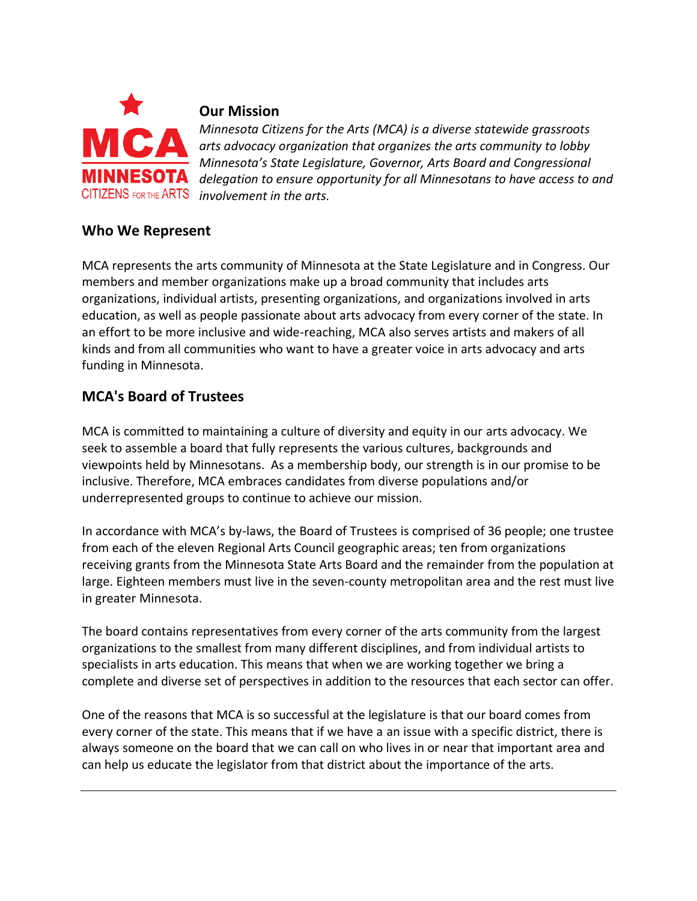

### **Our Mission**

*Minnesota Citizens for the Arts (MCA) is a diverse statewide grassroots arts advocacy organization that organizes the arts community to lobby Minnesota's State Legislature, Governor, Arts Board and Congressional delegation to ensure opportunity for all Minnesotans to have access to and*  CITIZENS FOR THE ARTS *involvement in the arts.* 

### **Who We Represent**

MCA represents the arts community of Minnesota at the State Legislature and in Congress. Our members and member organizations make up a broad community that includes arts organizations, individual artists, presenting organizations, and organizations involved in arts education, as well as people passionate about arts advocacy from every corner of the state. In an effort to be more inclusive and wide-reaching, MCA also serves artists and makers of all kinds and from all communities who want to have a greater voice in arts advocacy and arts funding in Minnesota.

### **MCA's Board of Trustees**

MCA is committed to maintaining a culture of diversity and equity in our arts advocacy. We seek to assemble a board that fully represents the various cultures, backgrounds and viewpoints held by Minnesotans. As a membership body, our strength is in our promise to be inclusive. Therefore, MCA embraces candidates from diverse populations and/or underrepresented groups to continue to achieve our mission.

In accordance with MCA's by-laws, the Board of Trustees is comprised of 36 people; one trustee from each of the eleven Regional Arts Council geographic areas; ten from organizations receiving grants from the Minnesota State Arts Board and the remainder from the population at large. Eighteen members must live in the seven-county metropolitan area and the rest must live in greater Minnesota.

The board contains representatives from every corner of the arts community from the largest organizations to the smallest from many different disciplines, and from individual artists to specialists in arts education. This means that when we are working together we bring a complete and diverse set of perspectives in addition to the resources that each sector can offer.

One of the reasons that MCA is so successful at the legislature is that our board comes from every corner of the state. This means that if we have a an issue with a specific district, there is always someone on the board that we can call on who lives in or near that important area and can help us educate the legislator from that district about the importance of the arts.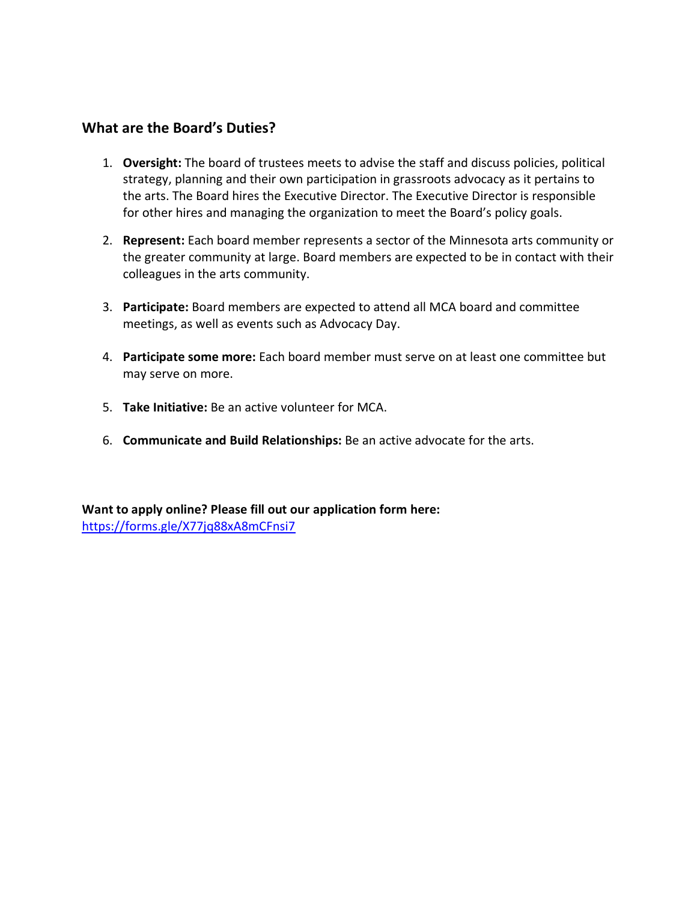#### **What are the Board's Duties?**

- 1. **Oversight:** The board of trustees meets to advise the staff and discuss policies, political strategy, planning and their own participation in grassroots advocacy as it pertains to the arts. The Board hires the Executive Director. The Executive Director is responsible for other hires and managing the organization to meet the Board's policy goals.
- 2. **Represent:** Each board member represents a sector of the Minnesota arts community or the greater community at large. Board members are expected to be in contact with their colleagues in the arts community.
- 3. **Participate:** Board members are expected to attend all MCA board and committee meetings, as well as events such as Advocacy Day.
- 4. **Participate some more:** Each board member must serve on at least one committee but may serve on more.
- 5. **Take Initiative:** Be an active volunteer for MCA.
- 6. **Communicate and Build Relationships:** Be an active advocate for the arts.

**Want to apply online? Please fill out our application form here:** <https://forms.gle/X77jq88xA8mCFnsi7>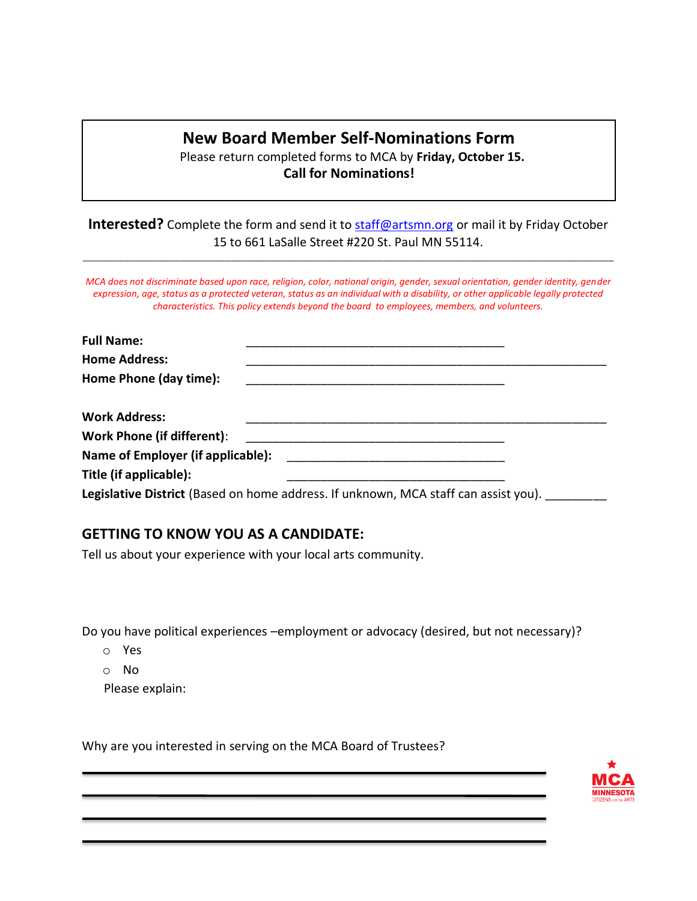## **New Board Member Self-Nominations Form**

Please return completed forms to MCA by **Friday, October 15. Call for Nominations!**

**Interested?** Complete the form and send it to [staff@artsmn.org](mailto:staff@artsmn.org) or mail it by Friday October 15 to 661 LaSalle Street #220 St. Paul MN 55114.

\_\_\_\_\_\_\_\_\_\_\_\_\_\_\_\_\_\_\_\_\_\_\_\_\_\_\_\_\_\_\_\_\_\_\_\_\_\_\_\_\_\_\_\_\_\_\_\_\_\_\_\_\_\_\_\_\_\_\_\_\_\_\_\_\_\_\_\_\_\_\_\_\_\_\_\_\_\_\_\_\_\_\_\_\_\_\_\_\_\_\_\_\_\_\_\_\_\_\_\_\_\_\_\_

*MCA does not discriminate based upon race, religion, color, national origin, gender, sexual orientation, gender identity, gender expression, age, status as a protected veteran, status as an individual with a disability, or other applicable legally protected characteristics. This policy extends beyond the board to employees, members, and volunteers.*

| <b>Full Name:</b>                        |                                                                                                                                                                                                                                      |
|------------------------------------------|--------------------------------------------------------------------------------------------------------------------------------------------------------------------------------------------------------------------------------------|
| <b>Home Address:</b>                     |                                                                                                                                                                                                                                      |
| Home Phone (day time):                   |                                                                                                                                                                                                                                      |
| <b>Work Address:</b>                     |                                                                                                                                                                                                                                      |
|                                          |                                                                                                                                                                                                                                      |
| <b>Name of Employer (if applicable):</b> | <u>and the contract of the contract of the contract of the contract of the contract of the contract of the contract of the contract of the contract of the contract of the contract of the contract of the contract of the contr</u> |
| Title (if applicable):                   |                                                                                                                                                                                                                                      |
|                                          | Legislative District (Based on home address. If unknown, MCA staff can assist you).                                                                                                                                                  |

### **GETTING TO KNOW YOU AS A CANDIDATE:**

Tell us about your experience with your local arts community.

Do you have political experiences –employment or advocacy (desired, but not necessary)?

- o Yes
- o No

Please explain:

Why are you interested in serving on the MCA Board of Trustees?

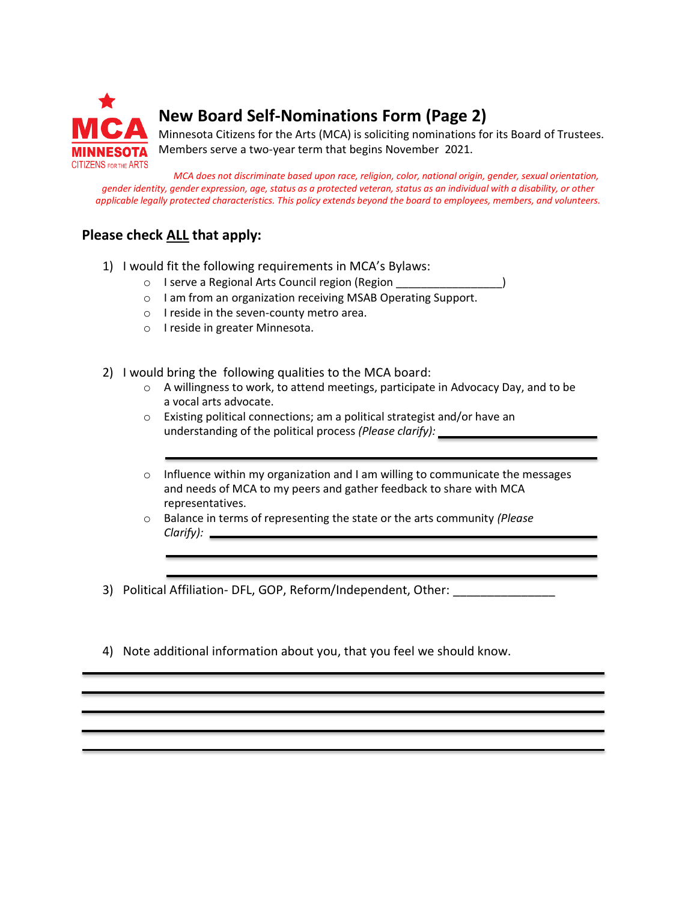

# **New Board Self-Nominations Form (Page 2)**

Minnesota Citizens for the Arts (MCA) is soliciting nominations for its Board of Trustees. Members serve a two-year term that begins November 2021.

*MCA does not discriminate based upon race, religion, color, national origin, gender, sexual orientation, gender identity, gender expression, age, status as a protected veteran, status as an individual with a disability, or other applicable legally protected characteristics. This policy extends beyond the board to employees, members, and volunteers.*

### **Please check ALL that apply:**

- 1) I would fit the following requirements in MCA's Bylaws:
	- o I serve a Regional Arts Council region (Region
	- o I am from an organization receiving MSAB Operating Support.
	- o I reside in the seven-county metro area.
	- o I reside in greater Minnesota.
- 2) I would bring the following qualities to the MCA board:
	- o A willingness to work, to attend meetings, participate in Advocacy Day, and to be a vocal arts advocate.
	- o Existing political connections; am a political strategist and/or have an understanding of the political process *(Please clarify):*
	- $\circ$  Influence within my organization and I am willing to communicate the messages and needs of MCA to my peers and gather feedback to share with MCA representatives.
	- o Balance in terms of representing the state or the arts community *(Please Clarify):*
- 3) Political Affiliation- DFL, GOP, Reform/Independent, Other:
- 4) Note additional information about you, that you feel we should know.